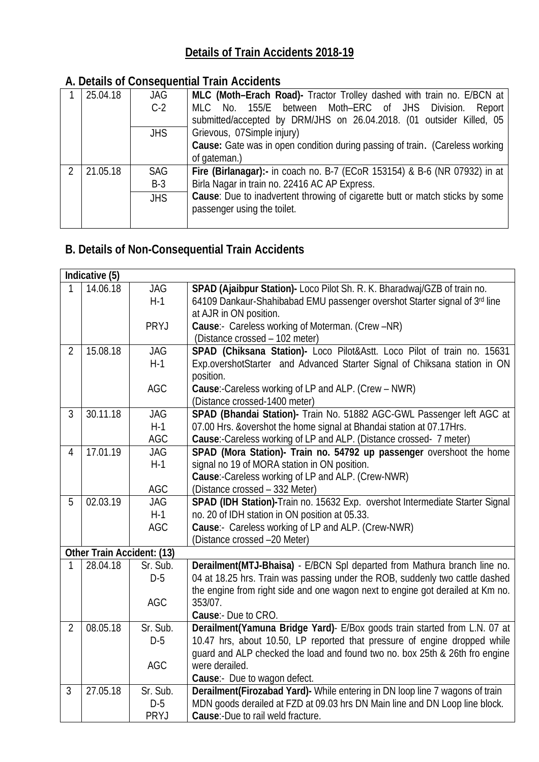## **Details of Train Accidents 2018-19**

## **A. Details of Consequential Train Accidents**

|               | 25.04.18 | <b>JAG</b> | MLC (Moth-Erach Road)- Tractor Trolley dashed with train no. E/BCN at               |
|---------------|----------|------------|-------------------------------------------------------------------------------------|
|               |          | $C-2$      | MLC No. 155/E between Moth-ERC of JHS Division. Report                              |
|               |          |            | submitted/accepted by DRM/JHS on 26.04.2018. (01 outsider Killed, 05                |
|               |          | <b>JHS</b> | Grievous, 07Simple injury)                                                          |
|               |          |            | <b>Cause:</b> Gate was in open condition during passing of train. (Careless working |
|               |          |            | of gateman.)                                                                        |
| $\mathcal{P}$ | 21.05.18 | <b>SAG</b> | Fire (Birlanagar):- in coach no. B-7 (ECoR 153154) & B-6 (NR 07932) in at           |
|               |          | $B-3$      | Birla Nagar in train no. 22416 AC AP Express.                                       |
|               |          | <b>JHS</b> | Cause: Due to inadvertent throwing of cigarette butt or match sticks by some        |
|               |          |            | passenger using the toilet.                                                         |
|               |          |            |                                                                                     |

## **B. Details of Non-Consequential Train Accidents**

|                                   | Indicative (5) |             |                                                                                                        |
|-----------------------------------|----------------|-------------|--------------------------------------------------------------------------------------------------------|
|                                   | 14.06.18       | <b>JAG</b>  | SPAD (Ajaibpur Station)- Loco Pilot Sh. R. K. Bharadwaj/GZB of train no.                               |
|                                   |                | $H-1$       | 64109 Dankaur-Shahibabad EMU passenger overshot Starter signal of 3rd line                             |
|                                   |                |             | at AJR in ON position.                                                                                 |
|                                   |                | <b>PRYJ</b> | Cause:- Careless working of Moterman. (Crew -NR)                                                       |
|                                   |                |             | (Distance crossed - 102 meter)                                                                         |
| $\overline{2}$                    | 15.08.18       | <b>JAG</b>  | SPAD (Chiksana Station)- Loco Pilot&Astt. Loco Pilot of train no. 15631                                |
|                                   |                | $H-1$       | Exp.overshotStarter and Advanced Starter Signal of Chiksana station in ON                              |
|                                   |                |             | position.                                                                                              |
|                                   |                | AGC         | Cause:-Careless working of LP and ALP. (Crew - NWR)                                                    |
|                                   |                |             | (Distance crossed-1400 meter)                                                                          |
| $\overline{3}$                    | 30.11.18       | <b>JAG</b>  | SPAD (Bhandai Station)- Train No. 51882 AGC-GWL Passenger left AGC at                                  |
|                                   |                | $H-1$       | 07.00 Hrs. & overshot the home signal at Bhandai station at 07.17 Hrs.                                 |
|                                   |                | AGC         | Cause:-Careless working of LP and ALP. (Distance crossed- 7 meter)                                     |
| $\overline{4}$                    | 17.01.19       | <b>JAG</b>  | SPAD (Mora Station)- Train no. 54792 up passenger overshoot the home                                   |
|                                   |                | $H-1$       | signal no 19 of MORA station in ON position.                                                           |
|                                   |                |             | Cause:-Careless working of LP and ALP. (Crew-NWR)                                                      |
|                                   |                | AGC         | (Distance crossed - 332 Meter)                                                                         |
| 5                                 | 02.03.19       | <b>JAG</b>  | SPAD (IDH Station)-Train no. 15632 Exp. overshot Intermediate Starter Signal                           |
|                                   |                | $H-1$       | no. 20 of IDH station in ON position at 05.33.                                                         |
|                                   |                | AGC         | Cause:- Careless working of LP and ALP. (Crew-NWR)                                                     |
|                                   |                |             | (Distance crossed -20 Meter)                                                                           |
| <b>Other Train Accident: (13)</b> |                |             |                                                                                                        |
| 1                                 | 28.04.18       | Sr. Sub.    | Derailment(MTJ-Bhaisa) - E/BCN Spl departed from Mathura branch line no.                               |
|                                   |                | $D-5$       | 04 at 18.25 hrs. Train was passing under the ROB, suddenly two cattle dashed                           |
|                                   |                |             | the engine from right side and one wagon next to engine got derailed at Km no.                         |
|                                   |                | <b>AGC</b>  | 353/07.                                                                                                |
| $\overline{2}$                    | 08.05.18       | Sr. Sub.    | <b>Cause:- Due to CRO.</b><br>Derailment(Yamuna Bridge Yard) E/Box goods train started from L.N. 07 at |
|                                   |                | $D-5$       | 10.47 hrs, about 10.50, LP reported that pressure of engine dropped while                              |
|                                   |                |             | guard and ALP checked the load and found two no. box 25th & 26th fro engine                            |
|                                   |                | <b>AGC</b>  | were derailed.                                                                                         |
|                                   |                |             | Cause:- Due to wagon defect.                                                                           |
| $\mathfrak{Z}$                    | 27.05.18       | Sr. Sub.    | Derailment(Firozabad Yard)- While entering in DN loop line 7 wagons of train                           |
|                                   |                | $D-5$       | MDN goods derailed at FZD at 09.03 hrs DN Main line and DN Loop line block.                            |
|                                   |                | <b>PRYJ</b> | Cause:-Due to rail weld fracture.                                                                      |
|                                   |                |             |                                                                                                        |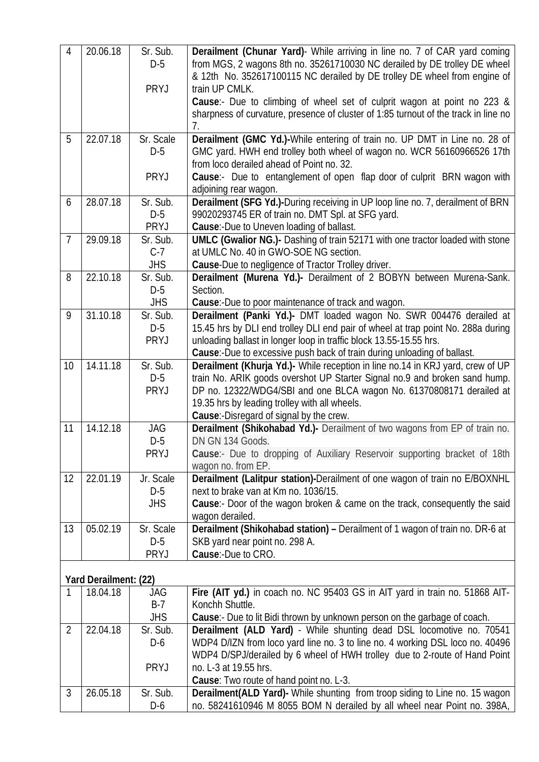| & 12th No. 352617100115 NC derailed by DE trolley DE wheel from engine of<br>PRYJ<br>train UP CMLK.<br>Cause:- Due to climbing of wheel set of culprit wagon at point no 223 &<br>sharpness of curvature, presence of cluster of 1:85 turnout of the track in line no<br>7.<br>Derailment (GMC Yd.)-While entering of train no. UP DMT in Line no. 28 of<br>22.07.18<br>Sr. Scale<br>5<br>GMC yard. HWH end trolley both wheel of wagon no. WCR 56160966526 17th<br>$D-5$<br>from loco derailed ahead of Point no. 32.<br>Cause:- Due to entanglement of open flap door of culprit BRN wagon with<br><b>PRYJ</b><br>adjoining rear wagon.<br>Derailment (SFG Yd.)-During receiving in UP loop line no. 7, derailment of BRN<br>28.07.18<br>Sr. Sub.<br>6<br>$D-5$<br>99020293745 ER of train no. DMT Spl. at SFG yard.<br>PRYJ<br>Cause:-Due to Uneven loading of ballast.<br><b>UMLC (Gwalior NG.)-</b> Dashing of train 52171 with one tractor loaded with stone<br>$\overline{7}$<br>29.09.18<br>Sr. Sub.<br>at UMLC No. 40 in GWO-SOE NG section.<br>$C-7$<br><b>JHS</b><br><b>Cause-Due to negligence of Tractor Trolley driver.</b><br>Derailment (Murena Yd.)- Derailment of 2 BOBYN between Murena-Sank.<br>22.10.18<br>Sr. Sub.<br>8<br>$D-5$<br>Section.<br><b>JHS</b><br>Cause:-Due to poor maintenance of track and wagon.<br>Derailment (Panki Yd.)- DMT loaded wagon No. SWR 004476 derailed at<br>31.10.18<br>Sr. Sub.<br>9<br>15.45 hrs by DLI end trolley DLI end pair of wheel at trap point No. 288a during<br>$D-5$<br>PRYJ<br>unloading ballast in longer loop in traffic block 13.55-15.55 hrs.<br>Cause:-Due to excessive push back of train during unloading of ballast.<br>Derailment (Khurja Yd.)- While reception in line no.14 in KRJ yard, crew of UP<br>14.11.18<br>Sr. Sub.<br>10<br>train No. ARIK goods overshot UP Starter Signal no.9 and broken sand hump.<br>$D-5$<br>PRYJ<br>DP no. 12322/WDG4/SBI and one BLCA wagon No. 61370808171 derailed at<br>19.35 hrs by leading trolley with all wheels.<br>Cause:-Disregard of signal by the crew.<br>Derailment (Shikohabad Yd.) Derailment of two wagons from EP of train no.<br>11<br>14.12.18<br><b>JAG</b><br>$D-5$<br>DN GN 134 Goods.<br>Cause:- Due to dropping of Auxiliary Reservoir supporting bracket of 18th<br>PRYJ<br>wagon no. from EP.<br>22.01.19<br>Derailment (Lalitpur station)-Derailment of one wagon of train no E/BOXNHL<br>12 <sup>2</sup><br>Jr. Scale<br>$D-5$<br>next to brake van at Km no. 1036/15.<br><b>JHS</b><br>Cause:- Door of the wagon broken & came on the track, consequently the said<br>wagon derailed.<br>05.02.19<br>Derailment (Shikohabad station) - Derailment of 1 wagon of train no. DR-6 at<br>Sr. Scale<br>13<br>$D-5$<br>SKB yard near point no. 298 A.<br>Cause: Due to CRO.<br><b>PRYJ</b><br>Yard Derailment: (22)<br>Fire (AIT yd.) in coach no. NC 95403 GS in AIT yard in train no. 51868 AIT-<br>18.04.18<br>JAG<br>1<br>$B-7$<br>Konchh Shuttle.<br><b>JHS</b><br>Cause:- Due to lit Bidi thrown by unknown person on the garbage of coach.<br>Derailment (ALD Yard) - While shunting dead DSL locomotive no. 70541<br>22.04.18<br>$\overline{2}$<br>Sr. Sub.<br>WDP4 D/IZN from loco yard line no. 3 to line no. 4 working DSL loco no. 40496<br>$D-6$<br>WDP4 D/SPJ/derailed by 6 wheel of HWH trolley due to 2-route of Hand Point<br><b>PRYJ</b><br>no. L-3 at 19.55 hrs.<br>Cause: Two route of hand point no. L-3. | $\overline{4}$ | 20.06.18 | Sr. Sub. | <b>Derailment (Chunar Yard)</b> - While arriving in line no. 7 of CAR yard coming |
|------------------------------------------------------------------------------------------------------------------------------------------------------------------------------------------------------------------------------------------------------------------------------------------------------------------------------------------------------------------------------------------------------------------------------------------------------------------------------------------------------------------------------------------------------------------------------------------------------------------------------------------------------------------------------------------------------------------------------------------------------------------------------------------------------------------------------------------------------------------------------------------------------------------------------------------------------------------------------------------------------------------------------------------------------------------------------------------------------------------------------------------------------------------------------------------------------------------------------------------------------------------------------------------------------------------------------------------------------------------------------------------------------------------------------------------------------------------------------------------------------------------------------------------------------------------------------------------------------------------------------------------------------------------------------------------------------------------------------------------------------------------------------------------------------------------------------------------------------------------------------------------------------------------------------------------------------------------------------------------------------------------------------------------------------------------------------------------------------------------------------------------------------------------------------------------------------------------------------------------------------------------------------------------------------------------------------------------------------------------------------------------------------------------------------------------------------------------------------------------------------------------------------------------------------------------------------------------------------------------------------------------------------------------------------------------------------------------------------------------------------------------------------------------------------------------------------------------------------------------------------------------------------------------------------------------------------------------------------------------------------------------------------------------------------------------------------------------------------------------------------------------------------------------------------------------------------------------------------------------------------------------------------------------------------------------------------------------------------------------------------------------------------------------------------------------------------------------------|----------------|----------|----------|-----------------------------------------------------------------------------------|
|                                                                                                                                                                                                                                                                                                                                                                                                                                                                                                                                                                                                                                                                                                                                                                                                                                                                                                                                                                                                                                                                                                                                                                                                                                                                                                                                                                                                                                                                                                                                                                                                                                                                                                                                                                                                                                                                                                                                                                                                                                                                                                                                                                                                                                                                                                                                                                                                                                                                                                                                                                                                                                                                                                                                                                                                                                                                                                                                                                                                                                                                                                                                                                                                                                                                                                                                                                                                                                                                        |                |          | $D-5$    | from MGS, 2 wagons 8th no. 35261710030 NC derailed by DE trolley DE wheel         |
|                                                                                                                                                                                                                                                                                                                                                                                                                                                                                                                                                                                                                                                                                                                                                                                                                                                                                                                                                                                                                                                                                                                                                                                                                                                                                                                                                                                                                                                                                                                                                                                                                                                                                                                                                                                                                                                                                                                                                                                                                                                                                                                                                                                                                                                                                                                                                                                                                                                                                                                                                                                                                                                                                                                                                                                                                                                                                                                                                                                                                                                                                                                                                                                                                                                                                                                                                                                                                                                                        |                |          |          |                                                                                   |
|                                                                                                                                                                                                                                                                                                                                                                                                                                                                                                                                                                                                                                                                                                                                                                                                                                                                                                                                                                                                                                                                                                                                                                                                                                                                                                                                                                                                                                                                                                                                                                                                                                                                                                                                                                                                                                                                                                                                                                                                                                                                                                                                                                                                                                                                                                                                                                                                                                                                                                                                                                                                                                                                                                                                                                                                                                                                                                                                                                                                                                                                                                                                                                                                                                                                                                                                                                                                                                                                        |                |          |          |                                                                                   |
|                                                                                                                                                                                                                                                                                                                                                                                                                                                                                                                                                                                                                                                                                                                                                                                                                                                                                                                                                                                                                                                                                                                                                                                                                                                                                                                                                                                                                                                                                                                                                                                                                                                                                                                                                                                                                                                                                                                                                                                                                                                                                                                                                                                                                                                                                                                                                                                                                                                                                                                                                                                                                                                                                                                                                                                                                                                                                                                                                                                                                                                                                                                                                                                                                                                                                                                                                                                                                                                                        |                |          |          |                                                                                   |
|                                                                                                                                                                                                                                                                                                                                                                                                                                                                                                                                                                                                                                                                                                                                                                                                                                                                                                                                                                                                                                                                                                                                                                                                                                                                                                                                                                                                                                                                                                                                                                                                                                                                                                                                                                                                                                                                                                                                                                                                                                                                                                                                                                                                                                                                                                                                                                                                                                                                                                                                                                                                                                                                                                                                                                                                                                                                                                                                                                                                                                                                                                                                                                                                                                                                                                                                                                                                                                                                        |                |          |          |                                                                                   |
|                                                                                                                                                                                                                                                                                                                                                                                                                                                                                                                                                                                                                                                                                                                                                                                                                                                                                                                                                                                                                                                                                                                                                                                                                                                                                                                                                                                                                                                                                                                                                                                                                                                                                                                                                                                                                                                                                                                                                                                                                                                                                                                                                                                                                                                                                                                                                                                                                                                                                                                                                                                                                                                                                                                                                                                                                                                                                                                                                                                                                                                                                                                                                                                                                                                                                                                                                                                                                                                                        |                |          |          |                                                                                   |
|                                                                                                                                                                                                                                                                                                                                                                                                                                                                                                                                                                                                                                                                                                                                                                                                                                                                                                                                                                                                                                                                                                                                                                                                                                                                                                                                                                                                                                                                                                                                                                                                                                                                                                                                                                                                                                                                                                                                                                                                                                                                                                                                                                                                                                                                                                                                                                                                                                                                                                                                                                                                                                                                                                                                                                                                                                                                                                                                                                                                                                                                                                                                                                                                                                                                                                                                                                                                                                                                        |                |          |          |                                                                                   |
|                                                                                                                                                                                                                                                                                                                                                                                                                                                                                                                                                                                                                                                                                                                                                                                                                                                                                                                                                                                                                                                                                                                                                                                                                                                                                                                                                                                                                                                                                                                                                                                                                                                                                                                                                                                                                                                                                                                                                                                                                                                                                                                                                                                                                                                                                                                                                                                                                                                                                                                                                                                                                                                                                                                                                                                                                                                                                                                                                                                                                                                                                                                                                                                                                                                                                                                                                                                                                                                                        |                |          |          |                                                                                   |
|                                                                                                                                                                                                                                                                                                                                                                                                                                                                                                                                                                                                                                                                                                                                                                                                                                                                                                                                                                                                                                                                                                                                                                                                                                                                                                                                                                                                                                                                                                                                                                                                                                                                                                                                                                                                                                                                                                                                                                                                                                                                                                                                                                                                                                                                                                                                                                                                                                                                                                                                                                                                                                                                                                                                                                                                                                                                                                                                                                                                                                                                                                                                                                                                                                                                                                                                                                                                                                                                        |                |          |          |                                                                                   |
|                                                                                                                                                                                                                                                                                                                                                                                                                                                                                                                                                                                                                                                                                                                                                                                                                                                                                                                                                                                                                                                                                                                                                                                                                                                                                                                                                                                                                                                                                                                                                                                                                                                                                                                                                                                                                                                                                                                                                                                                                                                                                                                                                                                                                                                                                                                                                                                                                                                                                                                                                                                                                                                                                                                                                                                                                                                                                                                                                                                                                                                                                                                                                                                                                                                                                                                                                                                                                                                                        |                |          |          |                                                                                   |
|                                                                                                                                                                                                                                                                                                                                                                                                                                                                                                                                                                                                                                                                                                                                                                                                                                                                                                                                                                                                                                                                                                                                                                                                                                                                                                                                                                                                                                                                                                                                                                                                                                                                                                                                                                                                                                                                                                                                                                                                                                                                                                                                                                                                                                                                                                                                                                                                                                                                                                                                                                                                                                                                                                                                                                                                                                                                                                                                                                                                                                                                                                                                                                                                                                                                                                                                                                                                                                                                        |                |          |          |                                                                                   |
|                                                                                                                                                                                                                                                                                                                                                                                                                                                                                                                                                                                                                                                                                                                                                                                                                                                                                                                                                                                                                                                                                                                                                                                                                                                                                                                                                                                                                                                                                                                                                                                                                                                                                                                                                                                                                                                                                                                                                                                                                                                                                                                                                                                                                                                                                                                                                                                                                                                                                                                                                                                                                                                                                                                                                                                                                                                                                                                                                                                                                                                                                                                                                                                                                                                                                                                                                                                                                                                                        |                |          |          |                                                                                   |
|                                                                                                                                                                                                                                                                                                                                                                                                                                                                                                                                                                                                                                                                                                                                                                                                                                                                                                                                                                                                                                                                                                                                                                                                                                                                                                                                                                                                                                                                                                                                                                                                                                                                                                                                                                                                                                                                                                                                                                                                                                                                                                                                                                                                                                                                                                                                                                                                                                                                                                                                                                                                                                                                                                                                                                                                                                                                                                                                                                                                                                                                                                                                                                                                                                                                                                                                                                                                                                                                        |                |          |          |                                                                                   |
|                                                                                                                                                                                                                                                                                                                                                                                                                                                                                                                                                                                                                                                                                                                                                                                                                                                                                                                                                                                                                                                                                                                                                                                                                                                                                                                                                                                                                                                                                                                                                                                                                                                                                                                                                                                                                                                                                                                                                                                                                                                                                                                                                                                                                                                                                                                                                                                                                                                                                                                                                                                                                                                                                                                                                                                                                                                                                                                                                                                                                                                                                                                                                                                                                                                                                                                                                                                                                                                                        |                |          |          |                                                                                   |
|                                                                                                                                                                                                                                                                                                                                                                                                                                                                                                                                                                                                                                                                                                                                                                                                                                                                                                                                                                                                                                                                                                                                                                                                                                                                                                                                                                                                                                                                                                                                                                                                                                                                                                                                                                                                                                                                                                                                                                                                                                                                                                                                                                                                                                                                                                                                                                                                                                                                                                                                                                                                                                                                                                                                                                                                                                                                                                                                                                                                                                                                                                                                                                                                                                                                                                                                                                                                                                                                        |                |          |          |                                                                                   |
|                                                                                                                                                                                                                                                                                                                                                                                                                                                                                                                                                                                                                                                                                                                                                                                                                                                                                                                                                                                                                                                                                                                                                                                                                                                                                                                                                                                                                                                                                                                                                                                                                                                                                                                                                                                                                                                                                                                                                                                                                                                                                                                                                                                                                                                                                                                                                                                                                                                                                                                                                                                                                                                                                                                                                                                                                                                                                                                                                                                                                                                                                                                                                                                                                                                                                                                                                                                                                                                                        |                |          |          |                                                                                   |
|                                                                                                                                                                                                                                                                                                                                                                                                                                                                                                                                                                                                                                                                                                                                                                                                                                                                                                                                                                                                                                                                                                                                                                                                                                                                                                                                                                                                                                                                                                                                                                                                                                                                                                                                                                                                                                                                                                                                                                                                                                                                                                                                                                                                                                                                                                                                                                                                                                                                                                                                                                                                                                                                                                                                                                                                                                                                                                                                                                                                                                                                                                                                                                                                                                                                                                                                                                                                                                                                        |                |          |          |                                                                                   |
|                                                                                                                                                                                                                                                                                                                                                                                                                                                                                                                                                                                                                                                                                                                                                                                                                                                                                                                                                                                                                                                                                                                                                                                                                                                                                                                                                                                                                                                                                                                                                                                                                                                                                                                                                                                                                                                                                                                                                                                                                                                                                                                                                                                                                                                                                                                                                                                                                                                                                                                                                                                                                                                                                                                                                                                                                                                                                                                                                                                                                                                                                                                                                                                                                                                                                                                                                                                                                                                                        |                |          |          |                                                                                   |
|                                                                                                                                                                                                                                                                                                                                                                                                                                                                                                                                                                                                                                                                                                                                                                                                                                                                                                                                                                                                                                                                                                                                                                                                                                                                                                                                                                                                                                                                                                                                                                                                                                                                                                                                                                                                                                                                                                                                                                                                                                                                                                                                                                                                                                                                                                                                                                                                                                                                                                                                                                                                                                                                                                                                                                                                                                                                                                                                                                                                                                                                                                                                                                                                                                                                                                                                                                                                                                                                        |                |          |          |                                                                                   |
|                                                                                                                                                                                                                                                                                                                                                                                                                                                                                                                                                                                                                                                                                                                                                                                                                                                                                                                                                                                                                                                                                                                                                                                                                                                                                                                                                                                                                                                                                                                                                                                                                                                                                                                                                                                                                                                                                                                                                                                                                                                                                                                                                                                                                                                                                                                                                                                                                                                                                                                                                                                                                                                                                                                                                                                                                                                                                                                                                                                                                                                                                                                                                                                                                                                                                                                                                                                                                                                                        |                |          |          |                                                                                   |
|                                                                                                                                                                                                                                                                                                                                                                                                                                                                                                                                                                                                                                                                                                                                                                                                                                                                                                                                                                                                                                                                                                                                                                                                                                                                                                                                                                                                                                                                                                                                                                                                                                                                                                                                                                                                                                                                                                                                                                                                                                                                                                                                                                                                                                                                                                                                                                                                                                                                                                                                                                                                                                                                                                                                                                                                                                                                                                                                                                                                                                                                                                                                                                                                                                                                                                                                                                                                                                                                        |                |          |          |                                                                                   |
|                                                                                                                                                                                                                                                                                                                                                                                                                                                                                                                                                                                                                                                                                                                                                                                                                                                                                                                                                                                                                                                                                                                                                                                                                                                                                                                                                                                                                                                                                                                                                                                                                                                                                                                                                                                                                                                                                                                                                                                                                                                                                                                                                                                                                                                                                                                                                                                                                                                                                                                                                                                                                                                                                                                                                                                                                                                                                                                                                                                                                                                                                                                                                                                                                                                                                                                                                                                                                                                                        |                |          |          |                                                                                   |
|                                                                                                                                                                                                                                                                                                                                                                                                                                                                                                                                                                                                                                                                                                                                                                                                                                                                                                                                                                                                                                                                                                                                                                                                                                                                                                                                                                                                                                                                                                                                                                                                                                                                                                                                                                                                                                                                                                                                                                                                                                                                                                                                                                                                                                                                                                                                                                                                                                                                                                                                                                                                                                                                                                                                                                                                                                                                                                                                                                                                                                                                                                                                                                                                                                                                                                                                                                                                                                                                        |                |          |          |                                                                                   |
|                                                                                                                                                                                                                                                                                                                                                                                                                                                                                                                                                                                                                                                                                                                                                                                                                                                                                                                                                                                                                                                                                                                                                                                                                                                                                                                                                                                                                                                                                                                                                                                                                                                                                                                                                                                                                                                                                                                                                                                                                                                                                                                                                                                                                                                                                                                                                                                                                                                                                                                                                                                                                                                                                                                                                                                                                                                                                                                                                                                                                                                                                                                                                                                                                                                                                                                                                                                                                                                                        |                |          |          |                                                                                   |
|                                                                                                                                                                                                                                                                                                                                                                                                                                                                                                                                                                                                                                                                                                                                                                                                                                                                                                                                                                                                                                                                                                                                                                                                                                                                                                                                                                                                                                                                                                                                                                                                                                                                                                                                                                                                                                                                                                                                                                                                                                                                                                                                                                                                                                                                                                                                                                                                                                                                                                                                                                                                                                                                                                                                                                                                                                                                                                                                                                                                                                                                                                                                                                                                                                                                                                                                                                                                                                                                        |                |          |          |                                                                                   |
|                                                                                                                                                                                                                                                                                                                                                                                                                                                                                                                                                                                                                                                                                                                                                                                                                                                                                                                                                                                                                                                                                                                                                                                                                                                                                                                                                                                                                                                                                                                                                                                                                                                                                                                                                                                                                                                                                                                                                                                                                                                                                                                                                                                                                                                                                                                                                                                                                                                                                                                                                                                                                                                                                                                                                                                                                                                                                                                                                                                                                                                                                                                                                                                                                                                                                                                                                                                                                                                                        |                |          |          |                                                                                   |
|                                                                                                                                                                                                                                                                                                                                                                                                                                                                                                                                                                                                                                                                                                                                                                                                                                                                                                                                                                                                                                                                                                                                                                                                                                                                                                                                                                                                                                                                                                                                                                                                                                                                                                                                                                                                                                                                                                                                                                                                                                                                                                                                                                                                                                                                                                                                                                                                                                                                                                                                                                                                                                                                                                                                                                                                                                                                                                                                                                                                                                                                                                                                                                                                                                                                                                                                                                                                                                                                        |                |          |          |                                                                                   |
|                                                                                                                                                                                                                                                                                                                                                                                                                                                                                                                                                                                                                                                                                                                                                                                                                                                                                                                                                                                                                                                                                                                                                                                                                                                                                                                                                                                                                                                                                                                                                                                                                                                                                                                                                                                                                                                                                                                                                                                                                                                                                                                                                                                                                                                                                                                                                                                                                                                                                                                                                                                                                                                                                                                                                                                                                                                                                                                                                                                                                                                                                                                                                                                                                                                                                                                                                                                                                                                                        |                |          |          |                                                                                   |
|                                                                                                                                                                                                                                                                                                                                                                                                                                                                                                                                                                                                                                                                                                                                                                                                                                                                                                                                                                                                                                                                                                                                                                                                                                                                                                                                                                                                                                                                                                                                                                                                                                                                                                                                                                                                                                                                                                                                                                                                                                                                                                                                                                                                                                                                                                                                                                                                                                                                                                                                                                                                                                                                                                                                                                                                                                                                                                                                                                                                                                                                                                                                                                                                                                                                                                                                                                                                                                                                        |                |          |          |                                                                                   |
|                                                                                                                                                                                                                                                                                                                                                                                                                                                                                                                                                                                                                                                                                                                                                                                                                                                                                                                                                                                                                                                                                                                                                                                                                                                                                                                                                                                                                                                                                                                                                                                                                                                                                                                                                                                                                                                                                                                                                                                                                                                                                                                                                                                                                                                                                                                                                                                                                                                                                                                                                                                                                                                                                                                                                                                                                                                                                                                                                                                                                                                                                                                                                                                                                                                                                                                                                                                                                                                                        |                |          |          |                                                                                   |
|                                                                                                                                                                                                                                                                                                                                                                                                                                                                                                                                                                                                                                                                                                                                                                                                                                                                                                                                                                                                                                                                                                                                                                                                                                                                                                                                                                                                                                                                                                                                                                                                                                                                                                                                                                                                                                                                                                                                                                                                                                                                                                                                                                                                                                                                                                                                                                                                                                                                                                                                                                                                                                                                                                                                                                                                                                                                                                                                                                                                                                                                                                                                                                                                                                                                                                                                                                                                                                                                        |                |          |          |                                                                                   |
|                                                                                                                                                                                                                                                                                                                                                                                                                                                                                                                                                                                                                                                                                                                                                                                                                                                                                                                                                                                                                                                                                                                                                                                                                                                                                                                                                                                                                                                                                                                                                                                                                                                                                                                                                                                                                                                                                                                                                                                                                                                                                                                                                                                                                                                                                                                                                                                                                                                                                                                                                                                                                                                                                                                                                                                                                                                                                                                                                                                                                                                                                                                                                                                                                                                                                                                                                                                                                                                                        |                |          |          |                                                                                   |
|                                                                                                                                                                                                                                                                                                                                                                                                                                                                                                                                                                                                                                                                                                                                                                                                                                                                                                                                                                                                                                                                                                                                                                                                                                                                                                                                                                                                                                                                                                                                                                                                                                                                                                                                                                                                                                                                                                                                                                                                                                                                                                                                                                                                                                                                                                                                                                                                                                                                                                                                                                                                                                                                                                                                                                                                                                                                                                                                                                                                                                                                                                                                                                                                                                                                                                                                                                                                                                                                        |                |          |          |                                                                                   |
|                                                                                                                                                                                                                                                                                                                                                                                                                                                                                                                                                                                                                                                                                                                                                                                                                                                                                                                                                                                                                                                                                                                                                                                                                                                                                                                                                                                                                                                                                                                                                                                                                                                                                                                                                                                                                                                                                                                                                                                                                                                                                                                                                                                                                                                                                                                                                                                                                                                                                                                                                                                                                                                                                                                                                                                                                                                                                                                                                                                                                                                                                                                                                                                                                                                                                                                                                                                                                                                                        |                |          |          |                                                                                   |
|                                                                                                                                                                                                                                                                                                                                                                                                                                                                                                                                                                                                                                                                                                                                                                                                                                                                                                                                                                                                                                                                                                                                                                                                                                                                                                                                                                                                                                                                                                                                                                                                                                                                                                                                                                                                                                                                                                                                                                                                                                                                                                                                                                                                                                                                                                                                                                                                                                                                                                                                                                                                                                                                                                                                                                                                                                                                                                                                                                                                                                                                                                                                                                                                                                                                                                                                                                                                                                                                        |                |          |          |                                                                                   |
|                                                                                                                                                                                                                                                                                                                                                                                                                                                                                                                                                                                                                                                                                                                                                                                                                                                                                                                                                                                                                                                                                                                                                                                                                                                                                                                                                                                                                                                                                                                                                                                                                                                                                                                                                                                                                                                                                                                                                                                                                                                                                                                                                                                                                                                                                                                                                                                                                                                                                                                                                                                                                                                                                                                                                                                                                                                                                                                                                                                                                                                                                                                                                                                                                                                                                                                                                                                                                                                                        |                |          |          |                                                                                   |
|                                                                                                                                                                                                                                                                                                                                                                                                                                                                                                                                                                                                                                                                                                                                                                                                                                                                                                                                                                                                                                                                                                                                                                                                                                                                                                                                                                                                                                                                                                                                                                                                                                                                                                                                                                                                                                                                                                                                                                                                                                                                                                                                                                                                                                                                                                                                                                                                                                                                                                                                                                                                                                                                                                                                                                                                                                                                                                                                                                                                                                                                                                                                                                                                                                                                                                                                                                                                                                                                        |                |          |          |                                                                                   |
|                                                                                                                                                                                                                                                                                                                                                                                                                                                                                                                                                                                                                                                                                                                                                                                                                                                                                                                                                                                                                                                                                                                                                                                                                                                                                                                                                                                                                                                                                                                                                                                                                                                                                                                                                                                                                                                                                                                                                                                                                                                                                                                                                                                                                                                                                                                                                                                                                                                                                                                                                                                                                                                                                                                                                                                                                                                                                                                                                                                                                                                                                                                                                                                                                                                                                                                                                                                                                                                                        |                |          |          |                                                                                   |
|                                                                                                                                                                                                                                                                                                                                                                                                                                                                                                                                                                                                                                                                                                                                                                                                                                                                                                                                                                                                                                                                                                                                                                                                                                                                                                                                                                                                                                                                                                                                                                                                                                                                                                                                                                                                                                                                                                                                                                                                                                                                                                                                                                                                                                                                                                                                                                                                                                                                                                                                                                                                                                                                                                                                                                                                                                                                                                                                                                                                                                                                                                                                                                                                                                                                                                                                                                                                                                                                        |                |          |          |                                                                                   |
|                                                                                                                                                                                                                                                                                                                                                                                                                                                                                                                                                                                                                                                                                                                                                                                                                                                                                                                                                                                                                                                                                                                                                                                                                                                                                                                                                                                                                                                                                                                                                                                                                                                                                                                                                                                                                                                                                                                                                                                                                                                                                                                                                                                                                                                                                                                                                                                                                                                                                                                                                                                                                                                                                                                                                                                                                                                                                                                                                                                                                                                                                                                                                                                                                                                                                                                                                                                                                                                                        |                |          |          |                                                                                   |
| no. 58241610946 M 8055 BOM N derailed by all wheel near Point no. 398A,<br>$D-6$                                                                                                                                                                                                                                                                                                                                                                                                                                                                                                                                                                                                                                                                                                                                                                                                                                                                                                                                                                                                                                                                                                                                                                                                                                                                                                                                                                                                                                                                                                                                                                                                                                                                                                                                                                                                                                                                                                                                                                                                                                                                                                                                                                                                                                                                                                                                                                                                                                                                                                                                                                                                                                                                                                                                                                                                                                                                                                                                                                                                                                                                                                                                                                                                                                                                                                                                                                                       | $\mathfrak{Z}$ | 26.05.18 | Sr. Sub. | Derailment(ALD Yard)- While shunting from troop siding to Line no. 15 wagon       |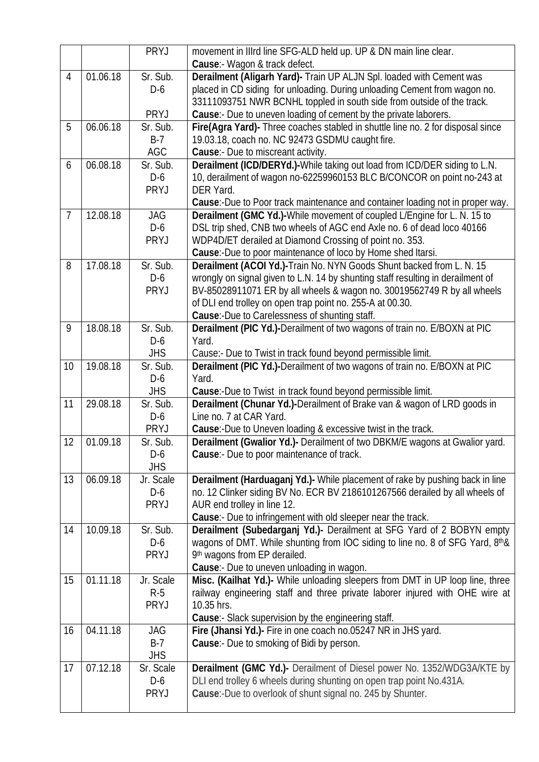|                 |          | PRYJ        | movement in IIIrd line SFG-ALD held up. UP & DN main line clear.                |
|-----------------|----------|-------------|---------------------------------------------------------------------------------|
|                 |          |             | Cause:- Wagon & track defect.                                                   |
| 4               | 01.06.18 | Sr. Sub.    | Derailment (Aligarh Yard)- Train UP ALJN Spl. loaded with Cement was            |
|                 |          | $D-6$       | placed in CD siding for unloading. During unloading Cement from wagon no.       |
|                 |          |             | 33111093751 NWR BCNHL toppled in south side from outside of the track.          |
|                 |          | PRYJ        | Cause:- Due to uneven loading of cement by the private laborers.                |
| 5               | 06.06.18 | Sr. Sub.    | Fire(Agra Yard)- Three coaches stabled in shuttle line no. 2 for disposal since |
|                 |          | $B-7$       | 19.03.18, coach no. NC 92473 GSDMU caught fire.                                 |
|                 |          | AGC         | Cause:- Due to miscreant activity.                                              |
| 6               | 06.08.18 | Sr. Sub.    | Derailment (ICD/DERYd.)-While taking out load from ICD/DER siding to L.N.       |
|                 |          | D-6         | 10, derailment of wagon no-62259960153 BLC B/CONCOR on point no-243 at          |
|                 |          | <b>PRYJ</b> | DER Yard.                                                                       |
|                 |          |             | Cause:-Due to Poor track maintenance and container loading not in proper way.   |
| $\overline{7}$  | 12.08.18 | JAG         | Derailment (GMC Yd.)-While movement of coupled L/Engine for L. N. 15 to         |
|                 |          | $D-6$       | DSL trip shed, CNB two wheels of AGC end Axle no. 6 of dead loco 40166          |
|                 |          | <b>PRYJ</b> | WDP4D/ET derailed at Diamond Crossing of point no. 353.                         |
|                 |          |             | Cause:-Due to poor maintenance of loco by Home shed Itarsi.                     |
| 8               | 17.08.18 | Sr. Sub.    | Derailment (ACOI Yd.)-Train No. NYN Goods Shunt backed from L. N. 15            |
|                 |          | $D-6$       | wrongly on signal given to L.N. 14 by shunting staff resulting in derailment of |
|                 |          | PRYJ        | BV-85028911071 ER by all wheels & wagon no. 30019562749 R by all wheels         |
|                 |          |             | of DLI end trolley on open trap point no. 255-A at 00.30.                       |
|                 |          |             | Cause:-Due to Carelessness of shunting staff.                                   |
| 9               | 18.08.18 | Sr. Sub.    | Derailment (PIC Yd.)-Derailment of two wagons of train no. E/BOXN at PIC        |
|                 |          | $D-6$       | Yard.                                                                           |
|                 |          | <b>JHS</b>  | Cause:- Due to Twist in track found beyond permissible limit.                   |
| 10 <sup>°</sup> | 19.08.18 | Sr. Sub.    | Derailment (PIC Yd.)-Derailment of two wagons of train no. E/BOXN at PIC        |
|                 |          | $D-6$       | Yard.                                                                           |
|                 |          | <b>JHS</b>  | Cause:-Due to Twist in track found beyond permissible limit.                    |
| 11              | 29.08.18 | Sr. Sub.    | Derailment (Chunar Yd.)-Derailment of Brake van & wagon of LRD goods in         |
|                 |          | $D-6$       | Line no. 7 at CAR Yard.                                                         |
|                 |          | PRYJ        | Cause:-Due to Uneven loading & excessive twist in the track.                    |
| 12              | 01.09.18 | Sr. Sub.    | Derailment (Gwalior Yd.)- Derailment of two DBKM/E wagons at Gwalior yard.      |
|                 |          | $D-6$       | <b>Cause:-</b> Due to poor maintenance of track.                                |
|                 |          | <b>JHS</b>  |                                                                                 |
| 13              | 06.09.18 | Jr. Scale   | Derailment (Harduaganj Yd.)- While placement of rake by pushing back in line    |
|                 |          | $D-6$       | no. 12 Clinker siding BV No. ECR BV 2186101267566 derailed by all wheels of     |
|                 |          | <b>PRYJ</b> | AUR end trolley in line 12.                                                     |
|                 |          |             | Cause:- Due to infringement with old sleeper near the track.                    |
| 14              | 10.09.18 | Sr. Sub.    | Derailment (Subedarganj Yd.)- Derailment at SFG Yard of 2 BOBYN empty           |
|                 |          | $D-6$       | wagons of DMT. While shunting from IOC siding to line no. 8 of SFG Yard, 8th &  |
|                 |          | <b>PRYJ</b> | 9th wagons from EP derailed.                                                    |
|                 |          |             | Cause:- Due to uneven unloading in wagon.                                       |
| 15              | 01.11.18 | Jr. Scale   | Misc. (Kailhat Yd.)- While unloading sleepers from DMT in UP loop line, three   |
|                 |          | $R-5$       | railway engineering staff and three private laborer injured with OHE wire at    |
|                 |          | <b>PRYJ</b> | 10.35 hrs.                                                                      |
|                 |          |             | <b>Cause:</b> Slack supervision by the engineering staff.                       |
| 16              | 04.11.18 | JAG         | Fire (Jhansi Yd.)- Fire in one coach no.05247 NR in JHS yard.                   |
|                 |          | $B-7$       | <b>Cause:-</b> Due to smoking of Bidi by person.                                |
|                 |          | <b>JHS</b>  |                                                                                 |
| 17              | 07.12.18 | Sr. Scale   | <b>Derailment (GMC Yd.)-</b> Derailment of Diesel power No. 1352/WDG3A/KTE by   |
|                 |          | $D-6$       | DLI end trolley 6 wheels during shunting on open trap point No.431A.            |
|                 |          | <b>PRYJ</b> | Cause:-Due to overlook of shunt signal no. 245 by Shunter.                      |